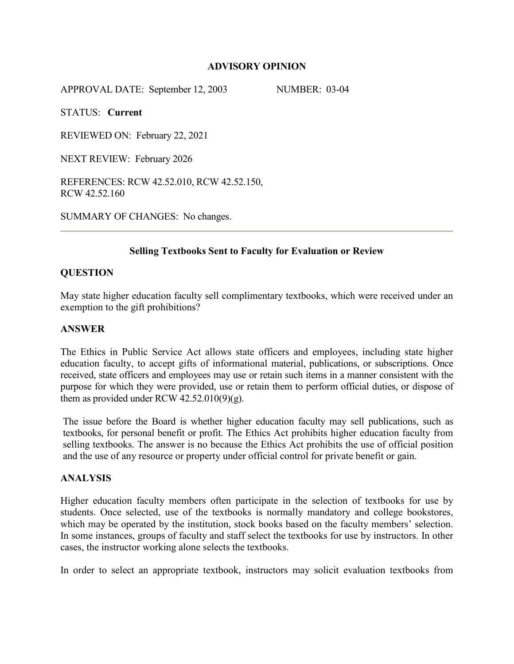## **ADVISORY OPINION**

APPROVAL DATE: September 12, 2003 NUMBER: 03-04

STATUS: **Current**

REVIEWED ON: February 22, 2021

NEXT REVIEW: February 2026

REFERENCES: RCW 42.52.010, RCW 42.52.150, RCW 42.52.160

SUMMARY OF CHANGES: No changes.

# **Selling Textbooks Sent to Faculty for Evaluation or Review**

# **QUESTION**

May state higher education faculty sell complimentary textbooks, which were received under an exemption to the gift prohibitions?

#### **ANSWER**

The Ethics in Public Service Act allows state officers and employees, including state higher education faculty, to accept gifts of informational material, publications, or subscriptions. Once received, state officers and employees may use or retain such items in a manner consistent with the purpose for which they were provided, use or retain them to perform official duties, or dispose of them as provided under RCW  $42.52.010(9)(g)$ .

The issue before the Board is whether higher education faculty may sell publications, such as textbooks, for personal benefit or profit. The Ethics Act prohibits higher education faculty from selling textbooks. The answer is no because the Ethics Act prohibits the use of official position and the use of any resource or property under official control for private benefit or gain.

## **ANALYSIS**

Higher education faculty members often participate in the selection of textbooks for use by students. Once selected, use of the textbooks is normally mandatory and college bookstores, which may be operated by the institution, stock books based on the faculty members' selection. In some instances, groups of faculty and staff select the textbooks for use by instructors. In other cases, the instructor working alone selects the textbooks.

In order to select an appropriate textbook, instructors may solicit evaluation textbooks from